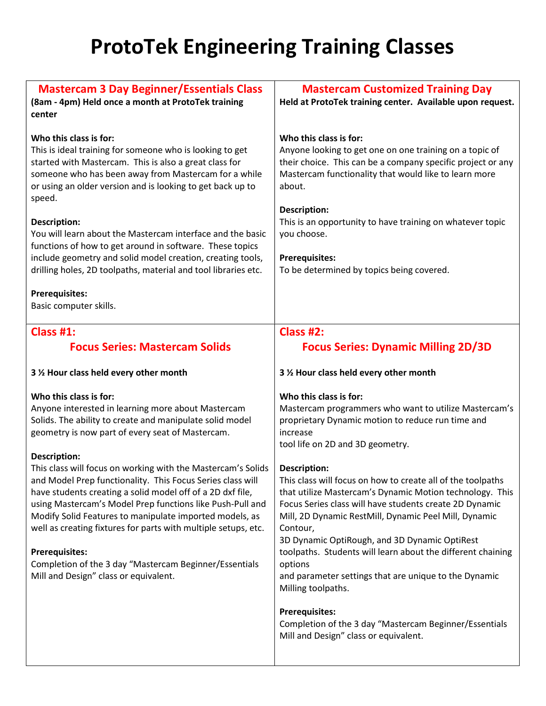## ProtoTek Engineering Training Classes

| <b>Mastercam 3 Day Beginner/Essentials Class</b><br>(8am - 4pm) Held once a month at ProtoTek training<br>center                                                                                                                                                                                                                                                                                                                                                                                                                                                                                                                                                                                                               | <b>Mastercam Customized Training Day</b><br>Held at ProtoTek training center. Available upon request.                                                                                                                                                                                                                                                                                                                                                                                                                                                                                                                                                                                                     |
|--------------------------------------------------------------------------------------------------------------------------------------------------------------------------------------------------------------------------------------------------------------------------------------------------------------------------------------------------------------------------------------------------------------------------------------------------------------------------------------------------------------------------------------------------------------------------------------------------------------------------------------------------------------------------------------------------------------------------------|-----------------------------------------------------------------------------------------------------------------------------------------------------------------------------------------------------------------------------------------------------------------------------------------------------------------------------------------------------------------------------------------------------------------------------------------------------------------------------------------------------------------------------------------------------------------------------------------------------------------------------------------------------------------------------------------------------------|
| Who this class is for:<br>This is ideal training for someone who is looking to get<br>started with Mastercam. This is also a great class for<br>someone who has been away from Mastercam for a while<br>or using an older version and is looking to get back up to<br>speed.<br>Description:<br>You will learn about the Mastercam interface and the basic<br>functions of how to get around in software. These topics<br>include geometry and solid model creation, creating tools,<br>drilling holes, 2D toolpaths, material and tool libraries etc.<br><b>Prerequisites:</b><br>Basic computer skills.                                                                                                                      | Who this class is for:<br>Anyone looking to get one on one training on a topic of<br>their choice. This can be a company specific project or any<br>Mastercam functionality that would like to learn more<br>about.<br><b>Description:</b><br>This is an opportunity to have training on whatever topic<br>you choose.<br><b>Prerequisites:</b><br>To be determined by topics being covered.                                                                                                                                                                                                                                                                                                              |
| Class $#1$ :                                                                                                                                                                                                                                                                                                                                                                                                                                                                                                                                                                                                                                                                                                                   | Class #2:                                                                                                                                                                                                                                                                                                                                                                                                                                                                                                                                                                                                                                                                                                 |
| <b>Focus Series: Mastercam Solids</b>                                                                                                                                                                                                                                                                                                                                                                                                                                                                                                                                                                                                                                                                                          | <b>Focus Series: Dynamic Milling 2D/3D</b>                                                                                                                                                                                                                                                                                                                                                                                                                                                                                                                                                                                                                                                                |
| 3 % Hour class held every other month                                                                                                                                                                                                                                                                                                                                                                                                                                                                                                                                                                                                                                                                                          | 3 % Hour class held every other month                                                                                                                                                                                                                                                                                                                                                                                                                                                                                                                                                                                                                                                                     |
| Who this class is for:<br>Anyone interested in learning more about Mastercam<br>Solids. The ability to create and manipulate solid model<br>geometry is now part of every seat of Mastercam.<br>Description:<br>This class will focus on working with the Mastercam's Solids<br>and Model Prep functionality. This Focus Series class will<br>have students creating a solid model off of a 2D dxf file,<br>using Mastercam's Model Prep functions like Push-Pull and<br>Modify Solid Features to manipulate imported models, as<br>well as creating fixtures for parts with multiple setups, etc.<br><b>Prerequisites:</b><br>Completion of the 3 day "Mastercam Beginner/Essentials<br>Mill and Design" class or equivalent. | Who this class is for:<br>Mastercam programmers who want to utilize Mastercam's<br>proprietary Dynamic motion to reduce run time and<br>increase<br>tool life on 2D and 3D geometry.<br><b>Description:</b><br>This class will focus on how to create all of the toolpaths<br>that utilize Mastercam's Dynamic Motion technology. This<br>Focus Series class will have students create 2D Dynamic<br>Mill, 2D Dynamic RestMill, Dynamic Peel Mill, Dynamic<br>Contour,<br>3D Dynamic OptiRough, and 3D Dynamic OptiRest<br>toolpaths. Students will learn about the different chaining<br>options<br>and parameter settings that are unique to the Dynamic<br>Milling toolpaths.<br><b>Prerequisites:</b> |
|                                                                                                                                                                                                                                                                                                                                                                                                                                                                                                                                                                                                                                                                                                                                | Completion of the 3 day "Mastercam Beginner/Essentials<br>Mill and Design" class or equivalent.                                                                                                                                                                                                                                                                                                                                                                                                                                                                                                                                                                                                           |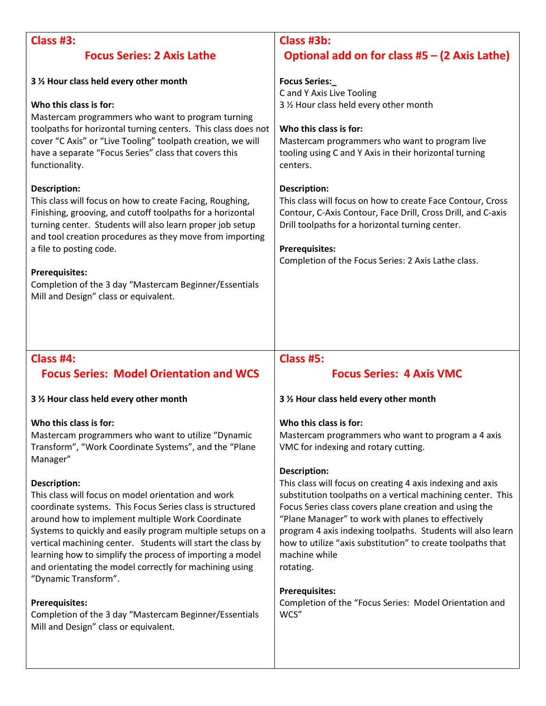| <b>Class #3:</b>                                                                                                                                                                                                                                                                                                                                                                                                                                                                                                                                                                                                                                                                                                                                                 | Class #3b:                                                                                                                                                                                                                                                                                                                                                                                                                                                                                                                                                                                                                                      |
|------------------------------------------------------------------------------------------------------------------------------------------------------------------------------------------------------------------------------------------------------------------------------------------------------------------------------------------------------------------------------------------------------------------------------------------------------------------------------------------------------------------------------------------------------------------------------------------------------------------------------------------------------------------------------------------------------------------------------------------------------------------|-------------------------------------------------------------------------------------------------------------------------------------------------------------------------------------------------------------------------------------------------------------------------------------------------------------------------------------------------------------------------------------------------------------------------------------------------------------------------------------------------------------------------------------------------------------------------------------------------------------------------------------------------|
| <b>Focus Series: 2 Axis Lathe</b>                                                                                                                                                                                                                                                                                                                                                                                                                                                                                                                                                                                                                                                                                                                                | Optional add on for class $#5 - (2 \text{ Axis}$ Lathe)                                                                                                                                                                                                                                                                                                                                                                                                                                                                                                                                                                                         |
| 3 % Hour class held every other month<br>Who this class is for:<br>Mastercam programmers who want to program turning<br>toolpaths for horizontal turning centers. This class does not<br>cover "C Axis" or "Live Tooling" toolpath creation, we will<br>have a separate "Focus Series" class that covers this<br>functionality.<br><b>Description:</b><br>This class will focus on how to create Facing, Roughing,<br>Finishing, grooving, and cutoff toolpaths for a horizontal<br>turning center. Students will also learn proper job setup<br>and tool creation procedures as they move from importing<br>a file to posting code.<br><b>Prerequisites:</b><br>Completion of the 3 day "Mastercam Beginner/Essentials<br>Mill and Design" class or equivalent. | <b>Focus Series:_</b><br>C and Y Axis Live Tooling<br>3 % Hour class held every other month<br>Who this class is for:<br>Mastercam programmers who want to program live<br>tooling using C and Y Axis in their horizontal turning<br>centers.<br><b>Description:</b><br>This class will focus on how to create Face Contour, Cross<br>Contour, C-Axis Contour, Face Drill, Cross Drill, and C-axis<br>Drill toolpaths for a horizontal turning center.<br><b>Prerequisites:</b><br>Completion of the Focus Series: 2 Axis Lathe class.                                                                                                          |
|                                                                                                                                                                                                                                                                                                                                                                                                                                                                                                                                                                                                                                                                                                                                                                  |                                                                                                                                                                                                                                                                                                                                                                                                                                                                                                                                                                                                                                                 |
| Class #4:                                                                                                                                                                                                                                                                                                                                                                                                                                                                                                                                                                                                                                                                                                                                                        | <b>Class #5:</b>                                                                                                                                                                                                                                                                                                                                                                                                                                                                                                                                                                                                                                |
| <b>Focus Series: Model Orientation and WCS</b><br>3 % Hour class held every other month                                                                                                                                                                                                                                                                                                                                                                                                                                                                                                                                                                                                                                                                          | <b>Focus Series: 4 Axis VMC</b><br>3 % Hour class held every other month                                                                                                                                                                                                                                                                                                                                                                                                                                                                                                                                                                        |
| Who this class is for:<br>Mastercam programmers who want to utilize "Dynamic<br>Transform", "Work Coordinate Systems", and the "Plane<br>Manager"<br><b>Description:</b><br>This class will focus on model orientation and work<br>coordinate systems. This Focus Series class is structured<br>around how to implement multiple Work Coordinate<br>Systems to quickly and easily program multiple setups on a<br>vertical machining center. Students will start the class by<br>learning how to simplify the process of importing a model<br>and orientating the model correctly for machining using<br>"Dynamic Transform".<br><b>Prerequisites:</b><br>Completion of the 3 day "Mastercam Beginner/Essentials<br>Mill and Design" class or equivalent.        | Who this class is for:<br>Mastercam programmers who want to program a 4 axis<br>VMC for indexing and rotary cutting.<br><b>Description:</b><br>This class will focus on creating 4 axis indexing and axis<br>substitution toolpaths on a vertical machining center. This<br>Focus Series class covers plane creation and using the<br>"Plane Manager" to work with planes to effectively<br>program 4 axis indexing toolpaths. Students will also learn<br>how to utilize "axis substitution" to create toolpaths that<br>machine while<br>rotating.<br><b>Prerequisites:</b><br>Completion of the "Focus Series: Model Orientation and<br>WCS" |